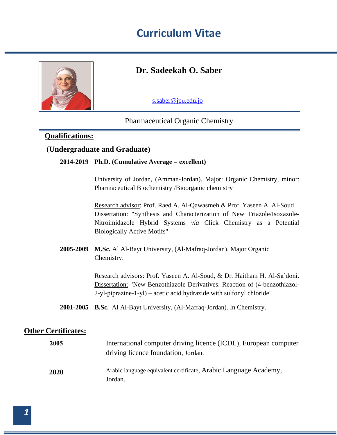

### **Dr. Sadeekah O. Saber**

[s.saber@jp](mailto:s.saber@jpu.edu.jo)u.edu.jo

### Pharmaceutical Organic Chemistry

### **Qualifications:**

### (**Undergraduate and Graduate)**

#### **Ph.D. (Cumulative Average = excellent) 2014-2019**

University of Jordan, (Amman-Jordan). Major: Organic Chemistry, minor: Pharmaceutical Biochemistry /Bioorganic chemistry

Research advisor: Prof. Raed A. Al-Qawasmeh & Prof. Yaseen A. Al-Soud Dissertation: "Synthesis and Characterization of New Triazole/Isoxazole-Nitroimidazole Hybrid Systems *via* Click Chemistry as a Potential Biologically Active Motifs"

**M.Sc.** Al Al-Bayt University, (Al-Mafraq-Jordan). Major Organic **2005-2009** Chemistry.

> Research advisors: Prof. Yaseen A. Al-Soud, & Dr. Haitham H. Al-Sa'doni. Dissertation: "New Benzothiazole Derivatives: Reaction of (4-benzothiazol-2-yl-piprazine-1-yl) – acetic acid hydrazide with sulfonyl chloride"

**B.Sc.** Al Al-Bayt University, (Al-Mafraq-Jordan). In Chemistry. **2001-2005**

### **Other Certificates:**

| 2005 | International computer driving licence (ICDL), European computer<br>driving licence foundation, Jordan. |
|------|---------------------------------------------------------------------------------------------------------|
| 2020 | Arabic language equivalent certificate, Arabic Language Academy,<br>Jordan.                             |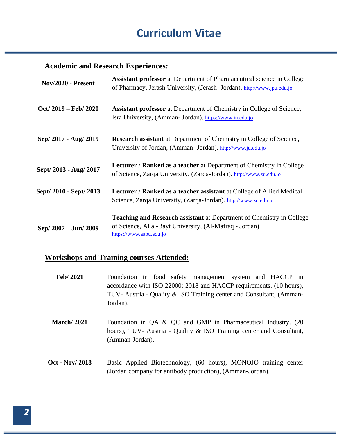### **Academic and Research Experiences:**

| Nov/2020 - Present      | <b>Assistant professor</b> at Department of Pharmaceutical science in College<br>of Pharmacy, Jerash University, (Jerash-Jordan). http://www.jpu.edu.jo      |
|-------------------------|--------------------------------------------------------------------------------------------------------------------------------------------------------------|
| $Oct/ 2019 - Feb/ 2020$ | <b>Assistant professor</b> at Department of Chemistry in College of Science,<br>Isra University, (Amman- Jordan). https://www.iu.edu.jo                      |
| Sep/ 2017 - Aug/ 2019   | <b>Research assistant</b> at Department of Chemistry in College of Science,<br>University of Jordan, (Amman- Jordan). http://www.ju.edu.jo                   |
| Sept/2013 - Aug/2017    | <b>Lecturer / Ranked as a teacher</b> at Department of Chemistry in College<br>of Science, Zarqa University, (Zarqa-Jordan). http://www.zu.edu.jo            |
| Sept/ 2010 - Sept/ 2013 | <b>Lecturer / Ranked as a teacher assistant</b> at College of Allied Medical<br>Science, Zarqa University, (Zarqa-Jordan). http://www.zu.edu.jo              |
| Sep/ 2007 - Jun/ 2009   | Teaching and Research assistant at Department of Chemistry in College<br>of Science, Al al-Bayt University, (Al-Mafraq - Jordan).<br>https://www.aabu.edu.jo |

### **Workshops and Training courses Attended:**

| Feb/2021              | Foundation in food safety management system and HACCP in<br>accordance with ISO 22000: 2018 and HACCP requirements. (10 hours),<br>TUV-Austria - Quality & ISO Training center and Consultant, (Amman-<br>Jordan). |
|-----------------------|--------------------------------------------------------------------------------------------------------------------------------------------------------------------------------------------------------------------|
| <b>March</b> /2021    | Foundation in QA & QC and GMP in Pharmaceutical Industry. (20)<br>hours), TUV- Austria - Quality & ISO Training center and Consultant,<br>(Amman-Jordan).                                                          |
| <b>Oct - Nov/2018</b> | Basic Applied Biotechnology, (60 hours), MONOJO training center<br>(Jordan company for antibody production), (Amman-Jordan).                                                                                       |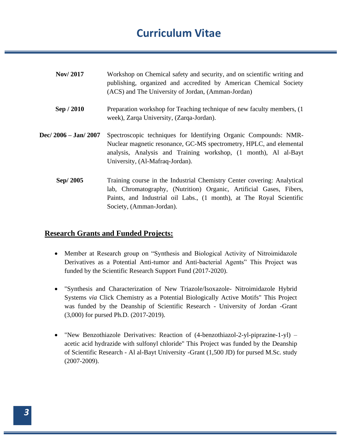| <b>Nov/2017</b>       | Workshop on Chemical safety and security, and on scientific writing and<br>publishing, organized and accredited by American Chemical Society<br>(ACS) and The University of Jordan, (Amman-Jordan)                                                 |
|-----------------------|----------------------------------------------------------------------------------------------------------------------------------------------------------------------------------------------------------------------------------------------------|
| Sep / 2010            | Preparation workshop for Teaching technique of new faculty members, (1)<br>week), Zarqa University, (Zarqa-Jordan).                                                                                                                                |
| Dec/ 2006 - Jan/ 2007 | Spectroscopic techniques for Identifying Organic Compounds: NMR-<br>Nuclear magnetic resonance, GC-MS spectrometry, HPLC, and elemental<br>analysis, Analysis and Training workshop, (1 month), Al al-Bayt<br>University, (Al-Mafraq-Jordan).      |
| Sep/2005              | Training course in the Industrial Chemistry Center covering: Analytical<br>lab, Chromatography, (Nutrition) Organic, Artificial Gases, Fibers,<br>Paints, and Industrial oil Labs., (1 month), at The Royal Scientific<br>Society, (Amman-Jordan). |

### **Research Grants and Funded Projects:**

- Member at Research group on "Synthesis and Biological Activity of Nitroimidazole Derivatives as a Potential Anti-tumor and Anti-bacterial Agents" This Project was funded by the Scientific Research Support Fund (2017-2020).
- "Synthesis and Characterization of New Triazole/Isoxazole- Nitroimidazole Hybrid Systems *via* Click Chemistry as a Potential Biologically Active Motifs" This Project was funded by the Deanship of Scientific Research - University of Jordan -Grant (3,000) for pursed Ph.D. (2017-2019).
- "New Benzothiazole Derivatives: Reaction of (4-benzothiazol-2-yl-piprazine-1-yl) acetic acid hydrazide with sulfonyl chloride" This Project was funded by the Deanship of Scientific Research - Al al-Bayt University -Grant (1,500 JD) for pursed M.Sc. study (2007-2009).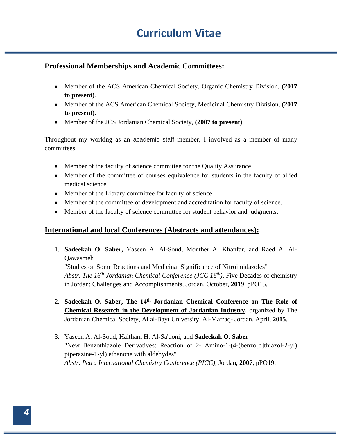### **Professional Memberships and Academic Committees:**

- Member of the ACS American Chemical Society, Organic Chemistry Division, **(2017 to present)**.
- Member of the ACS American Chemical Society, Medicinal Chemistry Division, **(2017 to present)**.
- Member of the JCS Jordanian Chemical Society, **(2007 to present)**.

Throughout my working as an academic staff member, I involved as a member of many committees:

- Member of the faculty of science committee for the Quality Assurance.
- Member of the committee of courses equivalence for students in the faculty of allied medical science.
- Member of the Library committee for faculty of science.
- Member of the committee of development and accreditation for faculty of science.
- Member of the faculty of science committee for student behavior and judgments.

#### **International and local Conferences (Abstracts and attendances):**

- 1. **Sadeekah O. Saber,** Yaseen A. Al-Soud, Monther A. Khanfar, and Raed A. Al-Qawasmeh "Studies on Some Reactions and Medicinal Significance of Nitroimidazoles" *Abstr. The 16th Jordanian Chemical Conference (JCC 16th),* Five Decades of chemistry in Jordan: Challenges and Accomplishments, Jordan, October, **2019**, pPO15.
- 2. Sadeekah O. Saber, The 14<sup>th</sup> Jordanian Chemical Conference on The Role of **Chemical Research in the Development of Jordanian Industry**, organized by The Jordanian Chemical Society, Al al-Bayt University, Al-Mafraq- Jordan, April, **2015**.
- 3. Yaseen A. Al-Soud, Haitham H. Al-Sa'doni, and **Sadeekah O. Saber** "New Benzothiazole Derivatives: Reaction of 2- Amino-1-(4-(benzo[d]thiazol-2-yl) piperazine-1-yl) ethanone with aldehydes" *Abstr. Petra International Chemistry Conference (PICC)*, Jordan, **2007**, pPO19.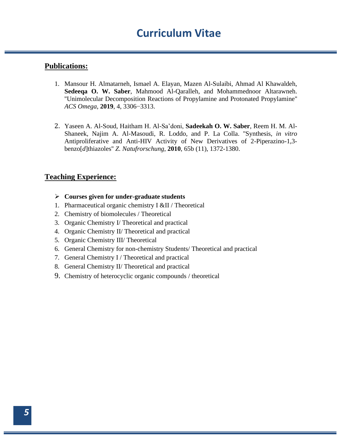#### **Publications:**

- 1. Mansour H. Almatarneh, Ismael A. Elayan, Mazen Al-Sulaibi, Ahmad Al Khawaldeh, **Sedeeqa O. W. Saber**, Mahmood Al-Qaralleh, and Mohammednoor Altarawneh. ''Unimolecular Decomposition Reactions of Propylamine and Protonated Propylamine'' *ACS Omega*, **2019**, 4, 3306−3313.
- 2. Yaseen A. Al-Soud, Haitham H. Al-Sa'doni, **Sadeekah O. W. Saber**, Reem H. M. Al-Shaneek, Najim A. Al-Masoudi, R. Loddo, and P. La Colla. ''Synthesis, *in vitro*  Antiproliferative and Anti-HIV Activity of New Derivatives of 2-Piperazino-1,3 benzo[*d*]thiazoles'' *Z. Natufrorschung*, **2010**, 65b (11), 1372-1380.

### **Teaching Experience:**

- ➢ **Courses given for under-graduate students**
- 1. Pharmaceutical organic chemistry I &II / Theoretical
- 2. Chemistry of biomolecules / Theoretical
- 3. Organic Chemistry I/ Theoretical and practical
- 4. Organic Chemistry II/ Theoretical and practical
- 5. Organic Chemistry III/ Theoretical
- 6. General Chemistry for non-chemistry Students/ Theoretical and practical
- 7. General Chemistry I / Theoretical and practical
- 8. General Chemistry II/ Theoretical and practical
- 9. Chemistry of heterocyclic organic compounds / theoretical